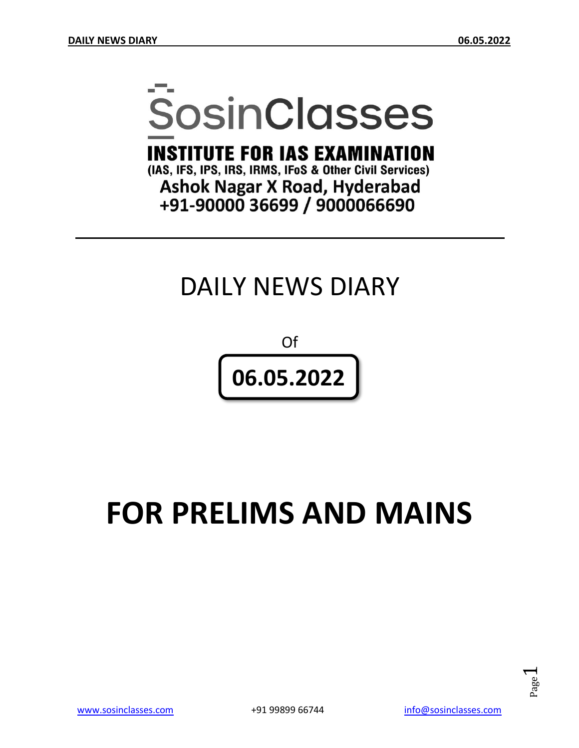# **SosinClasses**

**INSTITUTE FOR IAS EXAMINATION** 

(IAS, IFS, IPS, IRS, IRMS, IFoS & Other Civil Services) **Ashok Nagar X Road, Hyderabad** +91-90000 36699 / 9000066690

# DAILY NEWS DIARY

Of **06.05.2022**

# **FOR PRELIMS AND MAINS**

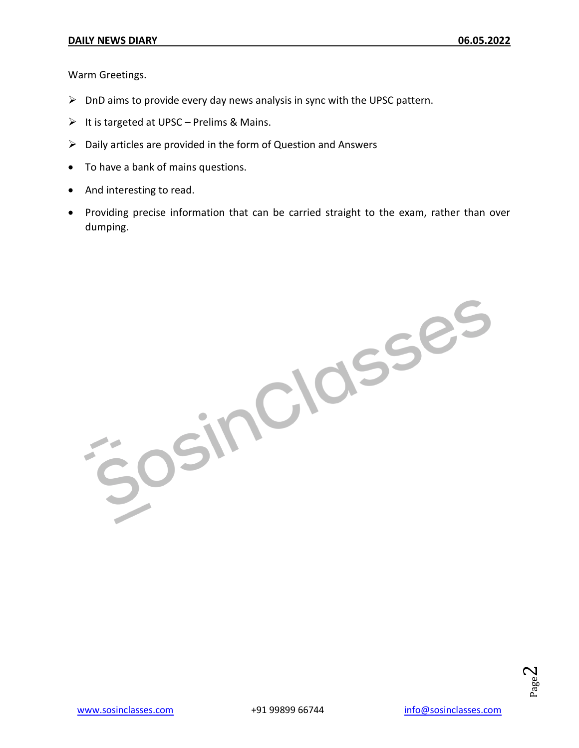Warm Greetings.

- $\triangleright$  DnD aims to provide every day news analysis in sync with the UPSC pattern.
- $\triangleright$  It is targeted at UPSC Prelims & Mains.
- $\triangleright$  Daily articles are provided in the form of Question and Answers
- To have a bank of mains questions.
- And interesting to read.
- Providing precise information that can be carried straight to the exam, rather than over dumping.

Josinciasses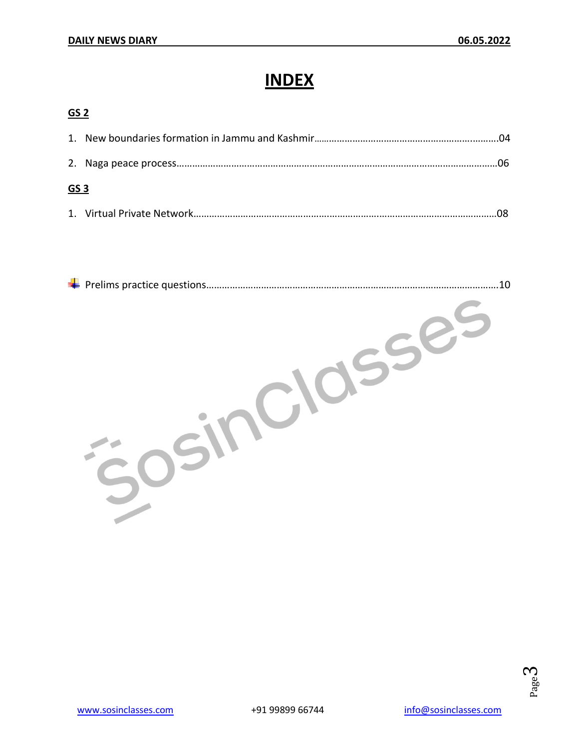# **INDEX**

#### **GS 2**

| <u>GS 3</u> |  |  |
|-------------|--|--|
|             |  |  |

| 10 |
|----|
|    |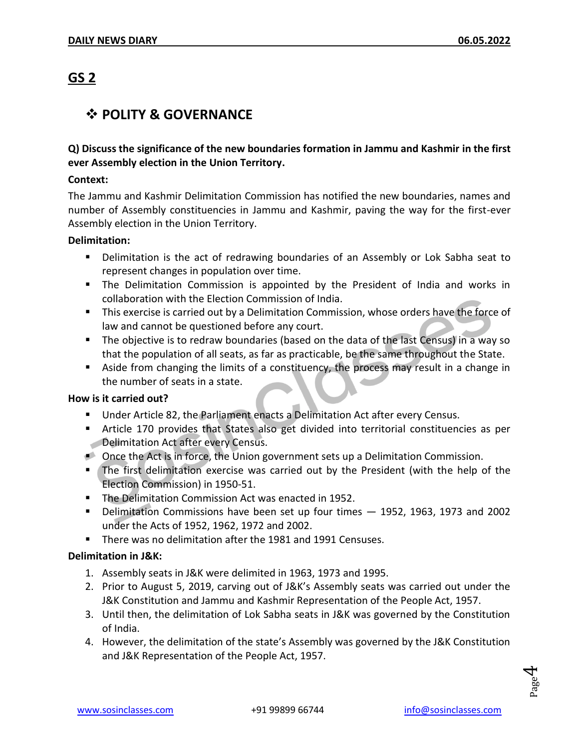### **GS 2**

#### **POLITY & GOVERNANCE**

#### **Q) Discuss the significance of the new boundaries formation in Jammu and Kashmir in the first ever Assembly election in the Union Territory.**

#### **Context:**

The Jammu and Kashmir Delimitation Commission has notified the new boundaries, names and number of Assembly constituencies in Jammu and Kashmir, paving the way for the first-ever Assembly election in the Union Territory.

#### **Delimitation:**

- Delimitation is the act of redrawing boundaries of an Assembly or Lok Sabha seat to represent changes in population over time.
- The Delimitation Commission is appointed by the President of India and works in collaboration with the Election Commission of India.
- **This exercise is carried out by a Delimitation Commission, whose orders have the force of** law and cannot be questioned before any court.
- The objective is to redraw boundaries (based on the data of the last Census) in a way so that the population of all seats, as far as practicable, be the same throughout the State.
- Aside from changing the limits of a constituency, the process may result in a change in the number of seats in a state.

#### **How is it carried out?**

- **Under Article 82, the Parliament enacts a Delimitation Act after every Census.**
- Article 170 provides that States also get divided into territorial constituencies as per **Delimitation Act after every Census.**
- Once the Act is in force, the Union government sets up a Delimitation Commission.
- The first delimitation exercise was carried out by the President (with the help of the Election Commission) in 1950-51.
- **The Delimitation Commission Act was enacted in 1952.**
- Delimitation Commissions have been set up four times 1952, 1963, 1973 and 2002 under the Acts of 1952, 1962, 1972 and 2002.
- There was no delimitation after the 1981 and 1991 Censuses.

#### **Delimitation in J&K:**

- 1. Assembly seats in J&K were delimited in 1963, 1973 and 1995.
- 2. Prior to August 5, 2019, carving out of J&K's Assembly seats was carried out under the J&K Constitution and Jammu and Kashmir Representation of the People Act, 1957.
- 3. Until then, the delimitation of Lok Sabha seats in J&K was governed by the Constitution of India.
- 4. However, the delimitation of the state's Assembly was governed by the J&K Constitution and J&K Representation of the People Act, 1957.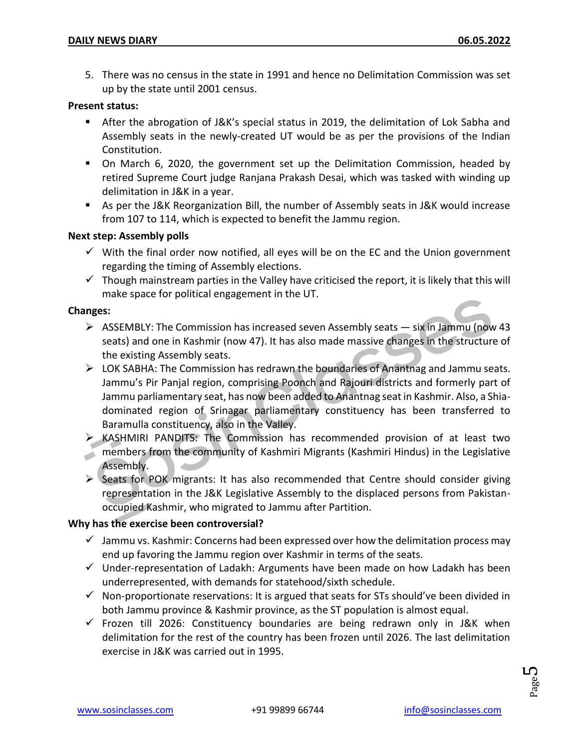5. There was no census in the state in 1991 and hence no Delimitation Commission was set up by the state until 2001 census.

#### **Present status:**

- After the abrogation of J&K's special status in 2019, the delimitation of Lok Sabha and Assembly seats in the newly-created UT would be as per the provisions of the Indian Constitution.
- On March 6, 2020, the government set up the Delimitation Commission, headed by retired Supreme Court judge Ranjana Prakash Desai, which was tasked with winding up delimitation in J&K in a year.
- As per the J&K Reorganization Bill, the number of Assembly seats in J&K would increase from 107 to 114, which is expected to benefit the Jammu region.

#### **Next step: Assembly polls**

- $\checkmark$  With the final order now notified, all eyes will be on the EC and the Union government regarding the timing of Assembly elections.
- $\checkmark$  Though mainstream parties in the Valley have criticised the report, it is likely that this will make space for political engagement in the UT.

#### **Changes:**

- $\triangleright$  ASSEMBLY: The Commission has increased seven Assembly seats  $-$  six in Jammu (now 43 seats) and one in Kashmir (now 47). It has also made massive changes in the structure of the existing Assembly seats.
- LOK SABHA: The Commission has redrawn the boundaries of Anantnag and Jammu seats. Jammu's Pir Panjal region, comprising Poonch and Rajouri districts and formerly part of Jammu parliamentary seat, has now been added to Anantnag seat in Kashmir. Also, a Shiadominated region of Srinagar parliamentary constituency has been transferred to Baramulla constituency, also in the Valley.
- KASHMIRI PANDITS: The Commission has recommended provision of at least two members from the community of Kashmiri Migrants (Kashmiri Hindus) in the Legislative Assembly.
- $\triangleright$  Seats for POK migrants: It has also recommended that Centre should consider giving representation in the J&K Legislative Assembly to the displaced persons from Pakistanoccupied Kashmir, who migrated to Jammu after Partition.

#### **Why has the exercise been controversial?**

- $\checkmark$  Jammu vs. Kashmir: Concerns had been expressed over how the delimitation process may end up favoring the Jammu region over Kashmir in terms of the seats.
- $\checkmark$  Under-representation of Ladakh: Arguments have been made on how Ladakh has been underrepresented, with demands for statehood/sixth schedule.
- $\checkmark$  Non-proportionate reservations: It is argued that seats for STs should've been divided in both Jammu province & Kashmir province, as the ST population is almost equal.
- $\checkmark$  Frozen till 2026: Constituency boundaries are being redrawn only in J&K when delimitation for the rest of the country has been frozen until 2026. The last delimitation exercise in J&K was carried out in 1995.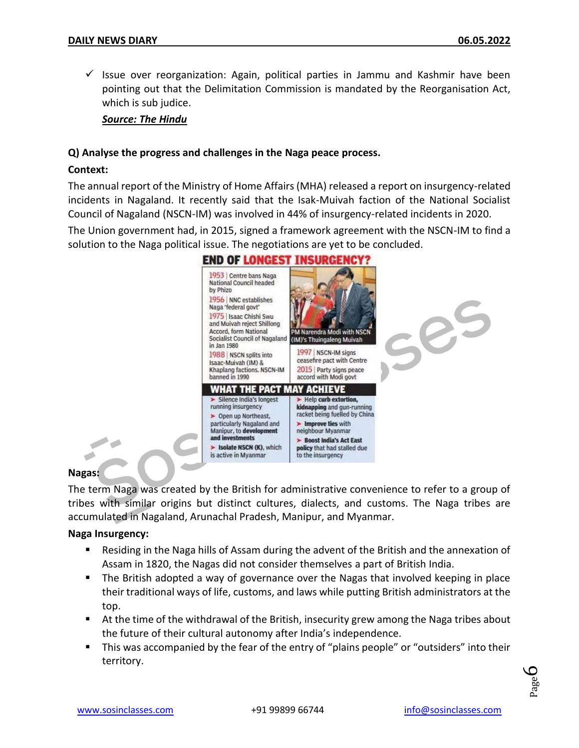$\checkmark$  Issue over reorganization: Again, political parties in Jammu and Kashmir have been pointing out that the Delimitation Commission is mandated by the Reorganisation Act, which is sub judice.

*Source: The Hindu*

#### **Q) Analyse the progress and challenges in the Naga peace process.**

#### **Context:**

The annual report of the Ministry of Home Affairs (MHA) released a report on insurgency-related incidents in Nagaland. It recently said that the Isak-Muivah faction of the National Socialist Council of Nagaland (NSCN-IM) was involved in 44% of insurgency-related incidents in 2020.

The Union government had, in 2015, signed a framework agreement with the NSCN-IM to find a solution to the Naga political issue. The negotiations are yet to be concluded.



#### **END OF LONGEST INSURGENCY?**

#### **Nagas:**

The term Naga was created by the British for administrative convenience to refer to a group of tribes with similar origins but distinct cultures, dialects, and customs. The Naga tribes are accumulated in Nagaland, Arunachal Pradesh, Manipur, and Myanmar.

#### **Naga Insurgency:**

- Residing in the Naga hills of Assam during the advent of the British and the annexation of Assam in 1820, the Nagas did not consider themselves a part of British India.
- The British adopted a way of governance over the Nagas that involved keeping in place their traditional ways of life, customs, and laws while putting British administrators at the top.
- At the time of the withdrawal of the British, insecurity grew among the Naga tribes about the future of their cultural autonomy after India's independence.
- **This was accompanied by the fear of the entry of "plains people" or "outsiders" into their** territory.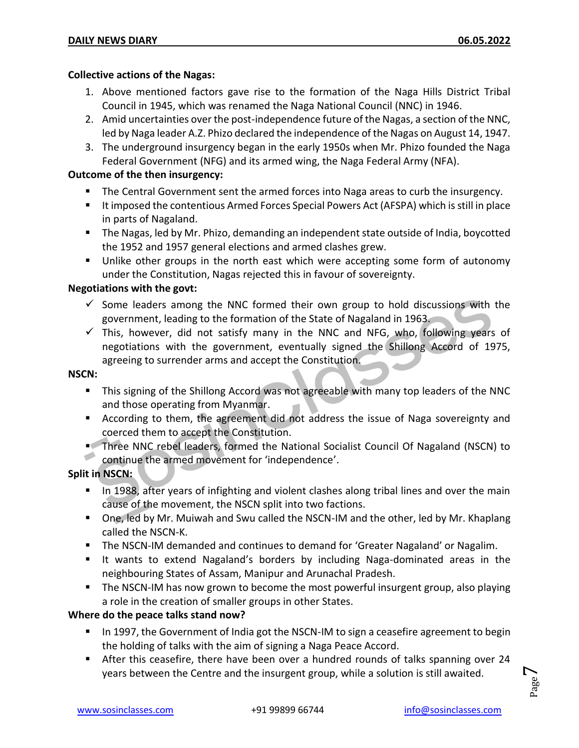#### **Collective actions of the Nagas:**

- 1. Above mentioned factors gave rise to the formation of the Naga Hills District Tribal Council in 1945, which was renamed the Naga National Council (NNC) in 1946.
- 2. Amid uncertainties over the post-independence future of the Nagas, a section of the NNC, led by Naga leader A.Z. Phizo declared the independence of the Nagas on August 14, 1947.
- 3. The underground insurgency began in the early 1950s when Mr. Phizo founded the Naga Federal Government (NFG) and its armed wing, the Naga Federal Army (NFA).

#### **Outcome of the then insurgency:**

- The Central Government sent the armed forces into Naga areas to curb the insurgency.
- It imposed the contentious Armed Forces Special Powers Act (AFSPA) which is still in place in parts of Nagaland.
- **The Nagas, led by Mr. Phizo, demanding an independent state outside of India, boycotted** the 1952 and 1957 general elections and armed clashes grew.
- **Unlike other groups in the north east which were accepting some form of autonomy** under the Constitution, Nagas rejected this in favour of sovereignty.

#### **Negotiations with the govt:**

- $\checkmark$  Some leaders among the NNC formed their own group to hold discussions with the government, leading to the formation of the State of Nagaland in 1963.
- $\checkmark$  This, however, did not satisfy many in the NNC and NFG, who, following years of negotiations with the government, eventually signed the Shillong Accord of 1975, agreeing to surrender arms and accept the Constitution.

#### **NSCN:**

- This signing of the Shillong Accord was not agreeable with many top leaders of the NNC and those operating from Myanmar.
- According to them, the agreement did not address the issue of Naga sovereignty and coerced them to accept the Constitution.
- **Three NNC rebel leaders, formed the National Socialist Council Of Nagaland (NSCN) to** continue the armed movement for 'independence'.

#### **Split in NSCN:**

- In 1988, after years of infighting and violent clashes along tribal lines and over the main cause of the movement, the NSCN split into two factions.
- One, led by Mr. Muiwah and Swu called the NSCN-IM and the other, led by Mr. Khaplang called the NSCN-K.
- **The NSCN-IM demanded and continues to demand for 'Greater Nagaland' or Nagalim.**
- It wants to extend Nagaland's borders by including Naga-dominated areas in the neighbouring States of Assam, Manipur and Arunachal Pradesh.
- **The NSCN-IM has now grown to become the most powerful insurgent group, also playing** a role in the creation of smaller groups in other States.

#### **Where do the peace talks stand now?**

- In 1997, the Government of India got the NSCN-IM to sign a ceasefire agreement to begin the holding of talks with the aim of signing a Naga Peace Accord.
- **After this ceasefire, there have been over a hundred rounds of talks spanning over 24** years between the Centre and the insurgent group, while a solution is still awaited.

Page  $\overline{\phantom{0}}$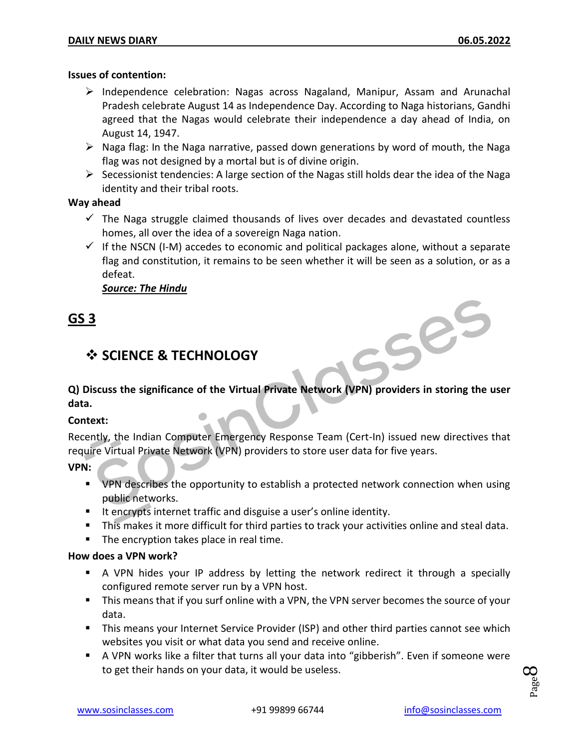#### **Issues of contention:**

- $\triangleright$  Independence celebration: Nagas across Nagaland, Manipur, Assam and Arunachal Pradesh celebrate August 14 as Independence Day. According to Naga historians, Gandhi agreed that the Nagas would celebrate their independence a day ahead of India, on August 14, 1947.
- $\triangleright$  Naga flag: In the Naga narrative, passed down generations by word of mouth, the Naga flag was not designed by a mortal but is of divine origin.
- $\triangleright$  Secessionist tendencies: A large section of the Nagas still holds dear the idea of the Naga identity and their tribal roots.

#### **Way ahead**

- $\checkmark$  The Naga struggle claimed thousands of lives over decades and devastated countless homes, all over the idea of a sovereign Naga nation.
- $\checkmark$  If the NSCN (I-M) accedes to economic and political packages alone, without a separate flag and constitution, it remains to be seen whether it will be seen as a solution, or as a defeat.

#### *Source: The Hindu*

#### **GS 3**

#### **SCIENCE & TECHNOLOGY**

**Q) Discuss the significance of the Virtual Private Network (VPN) providers in storing the user data.**

#### **Context:**

Recently, the Indian Computer Emergency Response Team (Cert-In) issued new directives that require Virtual Private Network (VPN) providers to store user data for five years.

**VPN:**

- VPN describes the opportunity to establish a protected network connection when using public networks.
- It encrypts internet traffic and disguise a user's online identity.
- This makes it more difficult for third parties to track your activities online and steal data.
- **The encryption takes place in real time.**

#### **How does a VPN work?**

- A VPN hides your IP address by letting the network redirect it through a specially configured remote server run by a VPN host.
- This means that if you surf online with a VPN, the VPN server becomes the source of your data.
- **This means your Internet Service Provider (ISP) and other third parties cannot see which** websites you visit or what data you send and receive online.
- A VPN works like a filter that turns all your data into "gibberish". Even if someone were to get their hands on your data, it would be useless.

 $59e<sup>5</sup>$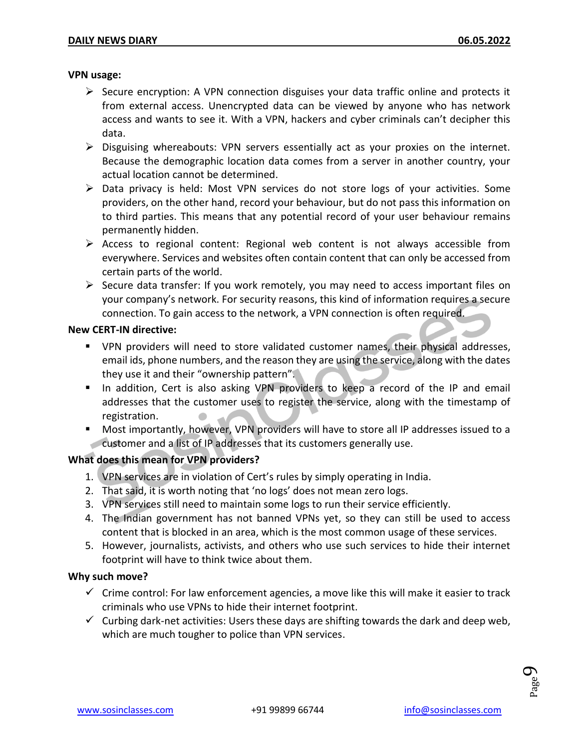#### **VPN usage:**

- $\triangleright$  Secure encryption: A VPN connection disguises your data traffic online and protects it from external access. Unencrypted data can be viewed by anyone who has network access and wants to see it. With a VPN, hackers and cyber criminals can't decipher this data.
- $\triangleright$  Disguising whereabouts: VPN servers essentially act as your proxies on the internet. Because the demographic location data comes from a server in another country, your actual location cannot be determined.
- $\triangleright$  Data privacy is held: Most VPN services do not store logs of your activities. Some providers, on the other hand, record your behaviour, but do not pass this information on to third parties. This means that any potential record of your user behaviour remains permanently hidden.
- $\triangleright$  Access to regional content: Regional web content is not always accessible from everywhere. Services and websites often contain content that can only be accessed from certain parts of the world.
- $\triangleright$  Secure data transfer: If you work remotely, you may need to access important files on your company's network. For security reasons, this kind of information requires a secure connection. To gain access to the network, a VPN connection is often required.

#### **New CERT-IN directive:**

- **•** VPN providers will need to store validated customer names, their physical addresses, email ids, phone numbers, and the reason they are using the service, along with the dates they use it and their "ownership pattern".
- In addition, Cert is also asking VPN providers to keep a record of the IP and email addresses that the customer uses to register the service, along with the timestamp of registration.
- Most importantly, however, VPN providers will have to store all IP addresses issued to a customer and a list of IP addresses that its customers generally use.

#### **What does this mean for VPN providers?**

- 1. VPN services are in violation of Cert's rules by simply operating in India.
- 2. That said, it is worth noting that 'no logs' does not mean zero logs.
- 3. VPN services still need to maintain some logs to run their service efficiently.
- 4. The Indian government has not banned VPNs yet, so they can still be used to access content that is blocked in an area, which is the most common usage of these services.
- 5. However, journalists, activists, and others who use such services to hide their internet footprint will have to think twice about them.

#### **Why such move?**

- $\checkmark$  Crime control: For law enforcement agencies, a move like this will make it easier to track criminals who use VPNs to hide their internet footprint.
- $\checkmark$  Curbing dark-net activities: Users these days are shifting towards the dark and deep web, which are much tougher to police than VPN services.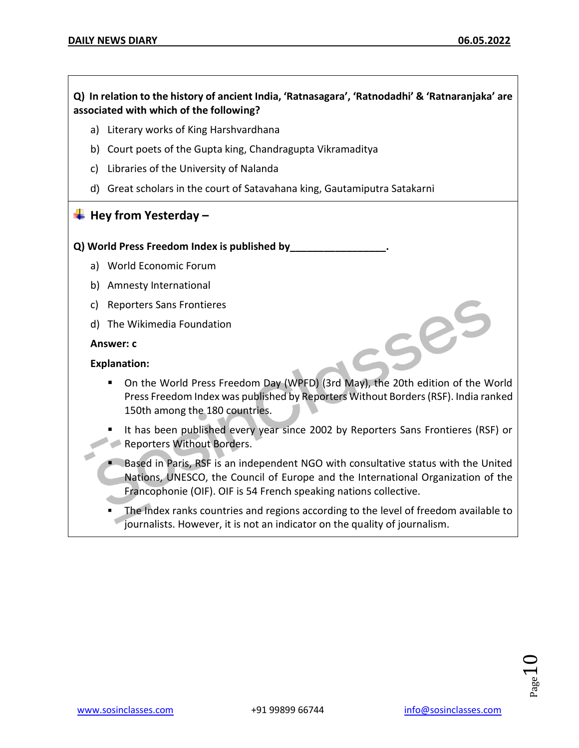#### **Q) In relation to the history of ancient India, 'Ratnasagara', 'Ratnodadhi' & 'Ratnaranjaka' are associated with which of the following?**

- a) Literary works of King Harshvardhana
- b) Court poets of the Gupta king, Chandragupta Vikramaditya
- c) Libraries of the University of Nalanda
- d) Great scholars in the court of Satavahana king, Gautamiputra Satakarni

#### **Hey from Yesterday –**

#### **Q) World Press Freedom Index is published by\_\_\_\_\_\_\_\_\_\_\_\_\_\_\_\_\_.**

- a) World Economic Forum
- b) Amnesty International
- c) Reporters Sans Frontieres
- d) The Wikimedia Foundation

#### **Answer: c**

#### **Explanation:**

- On the World Press Freedom Day (WPFD) (3rd May), the 20th edition of the World Press Freedom Index was published by Reporters Without Borders (RSF). India ranked 150th among the 180 countries.
- It has been published every year since 2002 by Reporters Sans Frontieres (RSF) or Reporters Without Borders.
- **Based in Paris, RSF is an independent NGO with consultative status with the United** Nations, UNESCO, the Council of Europe and the International Organization of the Francophonie (OIF). OIF is 54 French speaking nations collective.
- The Index ranks countries and regions according to the level of freedom available to journalists. However, it is not an indicator on the quality of journalism.